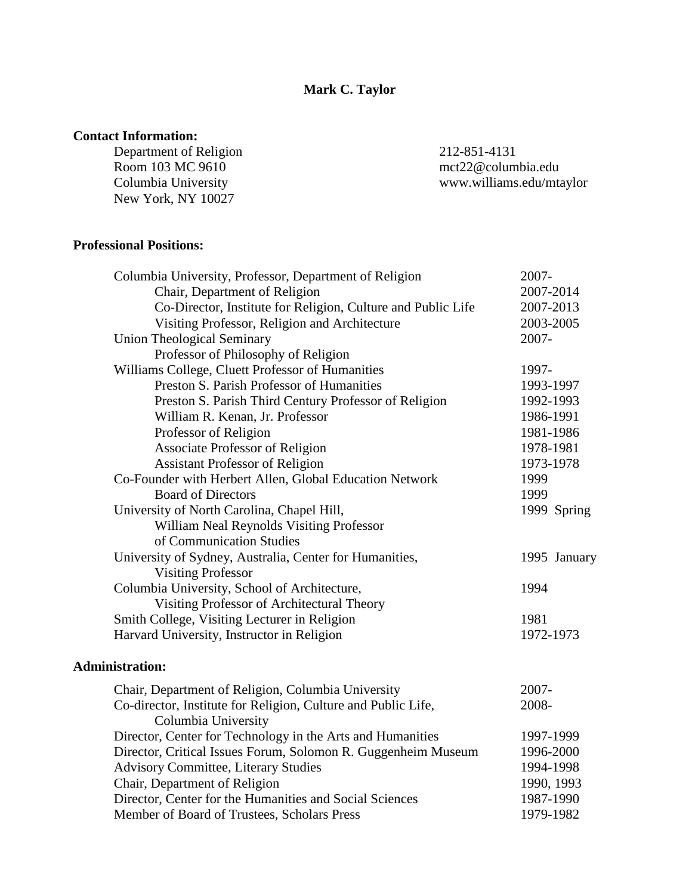## **Contact Information:**

Department of Religion 212-851-4131<br>Room 103 MC 9610 103 mct22@colum Room 103 MC 9610 mct22@columbia.edu<br>Columbia University www.williams.edu/mta New York, NY 10027

www.williams.edu/mtaylor

### **Professional Positions:**

| Columbia University, Professor, Department of Religion        | 2007-        |
|---------------------------------------------------------------|--------------|
| Chair, Department of Religion                                 | 2007-2014    |
| Co-Director, Institute for Religion, Culture and Public Life  | 2007-2013    |
| Visiting Professor, Religion and Architecture                 | 2003-2005    |
| <b>Union Theological Seminary</b>                             | 2007-        |
| Professor of Philosophy of Religion                           |              |
| Williams College, Cluett Professor of Humanities              | 1997-        |
| Preston S. Parish Professor of Humanities                     | 1993-1997    |
| Preston S. Parish Third Century Professor of Religion         | 1992-1993    |
| William R. Kenan, Jr. Professor                               | 1986-1991    |
| Professor of Religion                                         | 1981-1986    |
| <b>Associate Professor of Religion</b>                        | 1978-1981    |
| <b>Assistant Professor of Religion</b>                        | 1973-1978    |
| Co-Founder with Herbert Allen, Global Education Network       | 1999         |
| <b>Board of Directors</b>                                     | 1999         |
| University of North Carolina, Chapel Hill,                    | 1999 Spring  |
| William Neal Reynolds Visiting Professor                      |              |
| of Communication Studies                                      |              |
| University of Sydney, Australia, Center for Humanities,       | 1995 January |
| <b>Visiting Professor</b>                                     |              |
| Columbia University, School of Architecture,                  | 1994         |
| Visiting Professor of Architectural Theory                    |              |
| Smith College, Visiting Lecturer in Religion                  | 1981         |
| Harvard University, Instructor in Religion                    | 1972-1973    |
| <b>Administration:</b>                                        |              |
| Chair, Department of Religion, Columbia University            | 2007-        |
| Co-director, Institute for Religion, Culture and Public Life, | 2008-        |
| Columbia University                                           |              |
| Director, Center for Technology in the Arts and Humanities    | 1997-1999    |
| Director, Critical Issues Forum, Solomon R. Guggenheim Museum | 1996-2000    |
| <b>Advisory Committee, Literary Studies</b>                   | 1994-1998    |
| Chair, Department of Religion                                 | 1990, 1993   |
| Director, Center for the Humanities and Social Sciences       | 1987-1990    |
| Member of Board of Trustees, Scholars Press                   | 1979-1982    |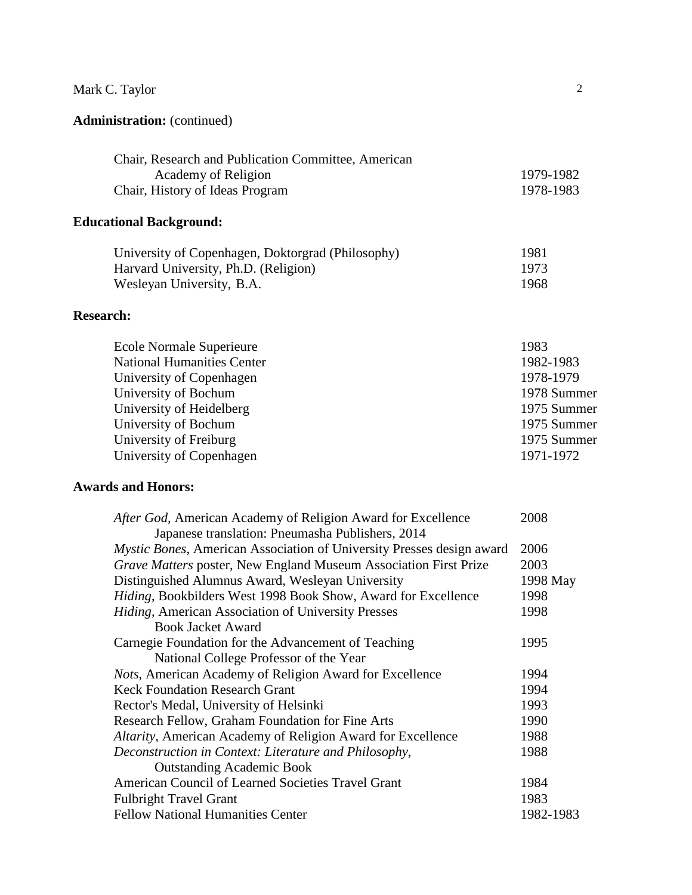# **Administration:** (continued)

| Chair, Research and Publication Committee, American |           |
|-----------------------------------------------------|-----------|
| Academy of Religion                                 | 1979-1982 |
| Chair, History of Ideas Program                     | 1978-1983 |

# **Educational Background:**

| University of Copenhagen, Doktorgrad (Philosophy) | 1981 |
|---------------------------------------------------|------|
| Harvard University, Ph.D. (Religion)              | 1973 |
| Wesleyan University, B.A.                         | 1968 |

# **Research:**

| Ecole Normale Superieure          | 1983        |
|-----------------------------------|-------------|
| <b>National Humanities Center</b> | 1982-1983   |
| University of Copenhagen          | 1978-1979   |
| University of Bochum              | 1978 Summer |
| University of Heidelberg          | 1975 Summer |
| University of Bochum              | 1975 Summer |
| University of Freiburg            | 1975 Summer |
| University of Copenhagen          | 1971-1972   |
|                                   |             |

# **Awards and Honors:**

| After God, American Academy of Religion Award for Excellence                 | 2008      |
|------------------------------------------------------------------------------|-----------|
| Japanese translation: Pneumasha Publishers, 2014                             |           |
| <i>Mystic Bones, American Association of University Presses design award</i> | 2006      |
| Grave Matters poster, New England Museum Association First Prize             | 2003      |
| Distinguished Alumnus Award, Wesleyan University                             | 1998 May  |
| Hiding, Bookbilders West 1998 Book Show, Award for Excellence                | 1998      |
| Hiding, American Association of University Presses                           | 1998      |
| <b>Book Jacket Award</b>                                                     |           |
| Carnegie Foundation for the Advancement of Teaching                          | 1995      |
| National College Professor of the Year                                       |           |
| <i>Nots</i> , American Academy of Religion Award for Excellence              | 1994      |
| <b>Keck Foundation Research Grant</b>                                        | 1994      |
| Rector's Medal, University of Helsinki                                       | 1993      |
| Research Fellow, Graham Foundation for Fine Arts                             | 1990      |
| Altarity, American Academy of Religion Award for Excellence                  | 1988      |
| Deconstruction in Context: Literature and Philosophy,                        | 1988      |
| <b>Outstanding Academic Book</b>                                             |           |
| American Council of Learned Societies Travel Grant                           | 1984      |
| <b>Fulbright Travel Grant</b>                                                | 1983      |
| <b>Fellow National Humanities Center</b>                                     | 1982-1983 |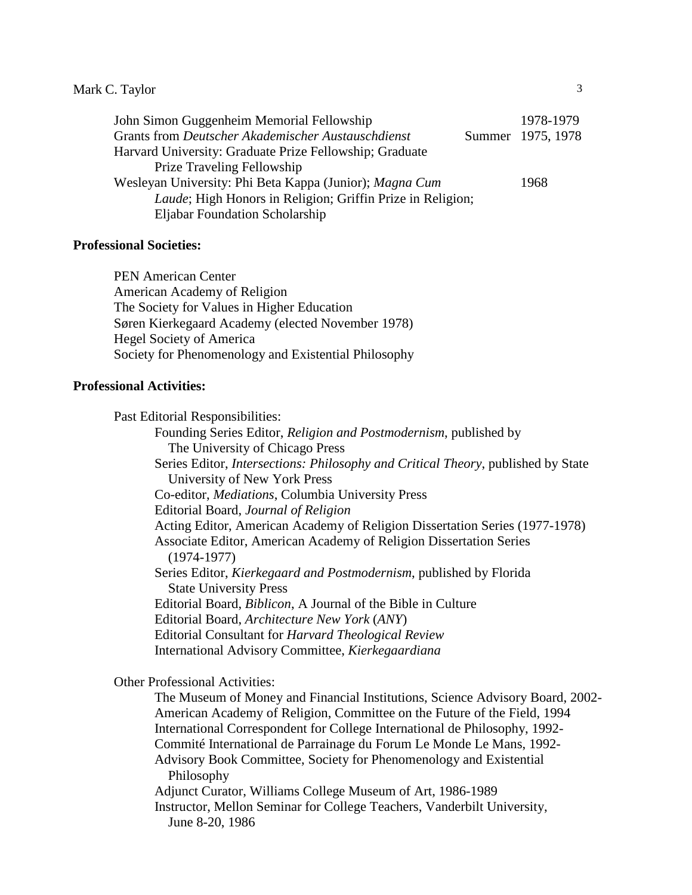| John Simon Guggenheim Memorial Fellowship                          | 1978-1979         |
|--------------------------------------------------------------------|-------------------|
| Grants from Deutscher Akademischer Austauschdienst                 | Summer 1975, 1978 |
| Harvard University: Graduate Prize Fellowship; Graduate            |                   |
| <b>Prize Traveling Fellowship</b>                                  |                   |
| Wesleyan University: Phi Beta Kappa (Junior); Magna Cum            | 1968              |
| <i>Laude</i> ; High Honors in Religion; Griffin Prize in Religion; |                   |
| Eljabar Foundation Scholarship                                     |                   |

#### **Professional Societies:**

PEN American Center American Academy of Religion The Society for Values in Higher Education Søren Kierkegaard Academy (elected November 1978) Hegel Society of America Society for Phenomenology and Existential Philosophy

#### **Professional Activities:**

Past Editorial Responsibilities: Founding Series Editor, *Religion and Postmodernism*, published by The University of Chicago Press Series Editor, *Intersections: Philosophy and Critical Theory*, published by State University of New York Press Co-editor, *Mediations*, Columbia University Press Editorial Board, *Journal of Religion* Acting Editor, American Academy of Religion Dissertation Series (1977-1978) Associate Editor, American Academy of Religion Dissertation Series (1974-1977) Series Editor, *Kierkegaard and Postmodernism*, published by Florida State University Press Editorial Board, *Biblicon*, A Journal of the Bible in Culture Editorial Board, *Architecture New York* (*ANY*) Editorial Consultant for *Harvard Theological Review* International Advisory Committee, *Kierkegaardiana*

#### Other Professional Activities:

The Museum of Money and Financial Institutions, Science Advisory Board, 2002- American Academy of Religion, Committee on the Future of the Field, 1994 International Correspondent for College International de Philosophy, 1992- Commité International de Parrainage du Forum Le Monde Le Mans, 1992- Advisory Book Committee, Society for Phenomenology and Existential Philosophy Adjunct Curator, Williams College Museum of Art, 1986-1989 Instructor, Mellon Seminar for College Teachers, Vanderbilt University, June 8-20, 1986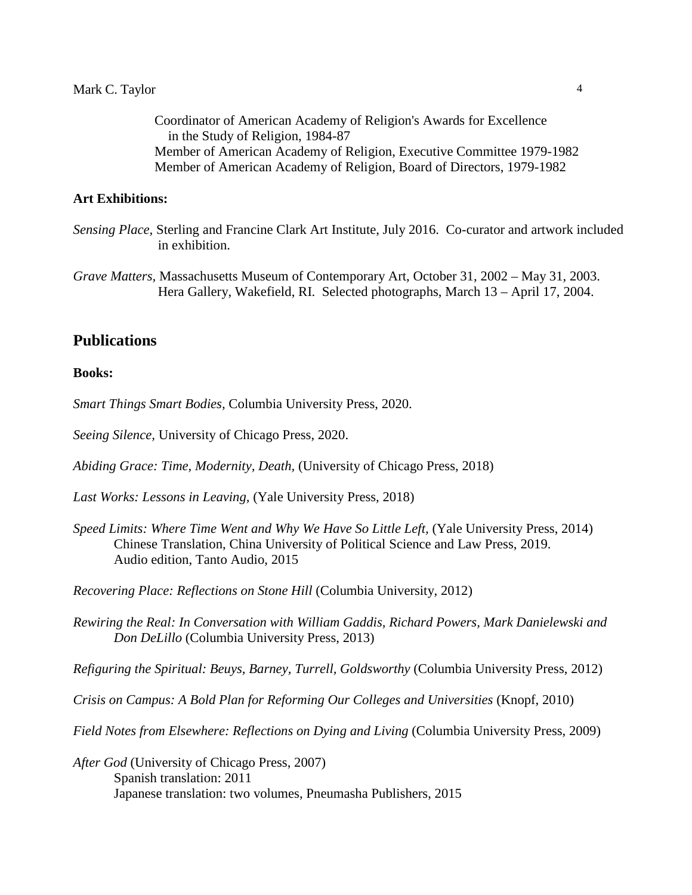Coordinator of American Academy of Religion's Awards for Excellence in the Study of Religion, 1984-87 Member of American Academy of Religion, Executive Committee 1979-1982 Member of American Academy of Religion, Board of Directors, 1979-1982

#### **Art Exhibitions:**

## **Publications**

#### **Books:**

*Smart Things Smart Bodies,* Columbia University Press, 2020.

*Seeing Silence,* University of Chicago Press, 2020.

*Abiding Grace: Time, Modernity, Death,* (University of Chicago Press, 2018)

*Last Works: Lessons in Leaving,* (Yale University Press, 2018)

*Speed Limits: Where Time Went and Why We Have So Little Left,* (Yale University Press, 2014) Chinese Translation, China University of Political Science and Law Press, 2019. Audio edition, Tanto Audio, 2015

*Recovering Place: Reflections on Stone Hill* (Columbia University, 2012)

*Rewiring the Real: In Conversation with William Gaddis, Richard Powers, Mark Danielewski and Don DeLillo* (Columbia University Press, 2013)

*Refiguring the Spiritual: Beuys, Barney, Turrell, Goldsworthy* (Columbia University Press, 2012)

*Crisis on Campus: A Bold Plan for Reforming Our Colleges and Universities* (Knopf, 2010)

*Field Notes from Elsewhere: Reflections on Dying and Living* (Columbia University Press, 2009)

*After God* (University of Chicago Press, 2007) Spanish translation: 2011 Japanese translation: two volumes, Pneumasha Publishers, 2015

*Sensing Place,* Sterling and Francine Clark Art Institute, July 2016. Co-curator and artwork included in exhibition.

*Grave Matters,* Massachusetts Museum of Contemporary Art, October 31, 2002 – May 31, 2003. Hera Gallery, Wakefield, RI. Selected photographs, March 13 – April 17, 2004.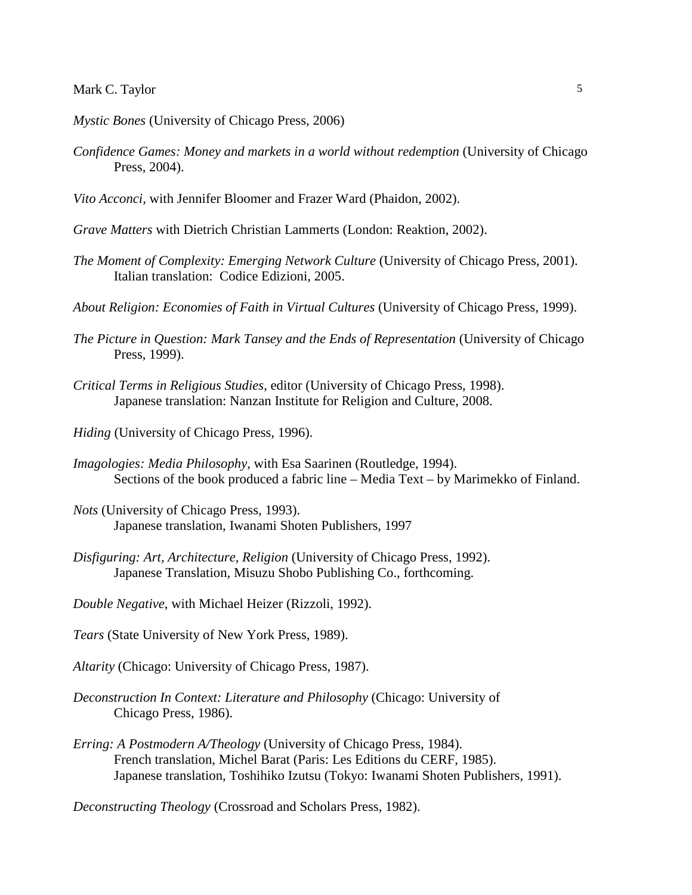*Mystic Bones* (University of Chicago Press, 2006)

- *Confidence Games: Money and markets in a world without redemption* (University of Chicago Press, 2004).
- *Vito Acconci,* with Jennifer Bloomer and Frazer Ward (Phaidon, 2002).
- *Grave Matters* with Dietrich Christian Lammerts (London: Reaktion, 2002).
- *The Moment of Complexity: Emerging Network Culture* (University of Chicago Press, 2001). Italian translation: Codice Edizioni, 2005.
- *About Religion: Economies of Faith in Virtual Cultures* (University of Chicago Press, 1999).
- *The Picture in Question: Mark Tansey and the Ends of Representation* (University of Chicago Press, 1999).
- *Critical Terms in Religious Studies*, editor (University of Chicago Press, 1998). Japanese translation: Nanzan Institute for Religion and Culture, 2008.
- *Hiding* (University of Chicago Press, 1996).
- *Imagologies: Media Philosophy*, with Esa Saarinen (Routledge, 1994). Sections of the book produced a fabric line – Media Text – by Marimekko of Finland.
- *Nots* (University of Chicago Press, 1993). Japanese translation, Iwanami Shoten Publishers, 1997
- *Disfiguring: Art, Architecture, Religion* (University of Chicago Press, 1992). Japanese Translation, Misuzu Shobo Publishing Co., forthcoming.
- *Double Negative*, with Michael Heizer (Rizzoli, 1992).
- *Tears* (State University of New York Press, 1989).
- *Altarity* (Chicago: University of Chicago Press, 1987).
- *Deconstruction In Context: Literature and Philosophy* (Chicago: University of Chicago Press, 1986).
- *Erring: A Postmodern A/Theology* (University of Chicago Press, 1984). French translation, Michel Barat (Paris: Les Editions du CERF, 1985). Japanese translation, Toshihiko Izutsu (Tokyo: Iwanami Shoten Publishers, 1991).

*Deconstructing Theology* (Crossroad and Scholars Press, 1982).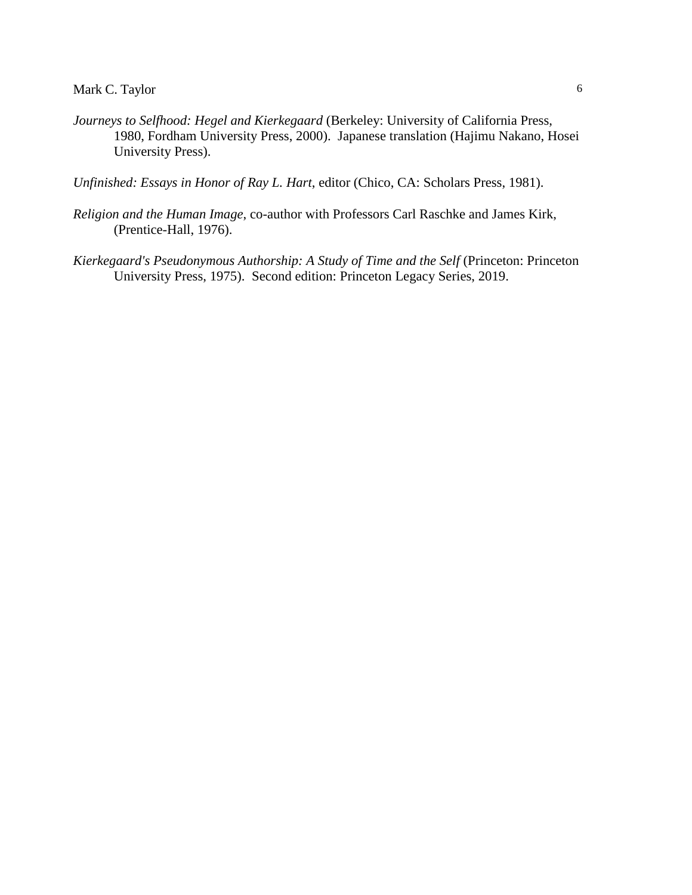*Journeys to Selfhood: Hegel and Kierkegaard* (Berkeley: University of California Press, 1980, Fordham University Press, 2000). Japanese translation (Hajimu Nakano, Hosei University Press).

*Unfinished: Essays in Honor of Ray L. Hart*, editor (Chico, CA: Scholars Press, 1981).

- *Religion and the Human Image*, co-author with Professors Carl Raschke and James Kirk, (Prentice-Hall, 1976).
- *Kierkegaard's Pseudonymous Authorship: A Study of Time and the Self* (Princeton: Princeton University Press, 1975). Second edition: Princeton Legacy Series, 2019.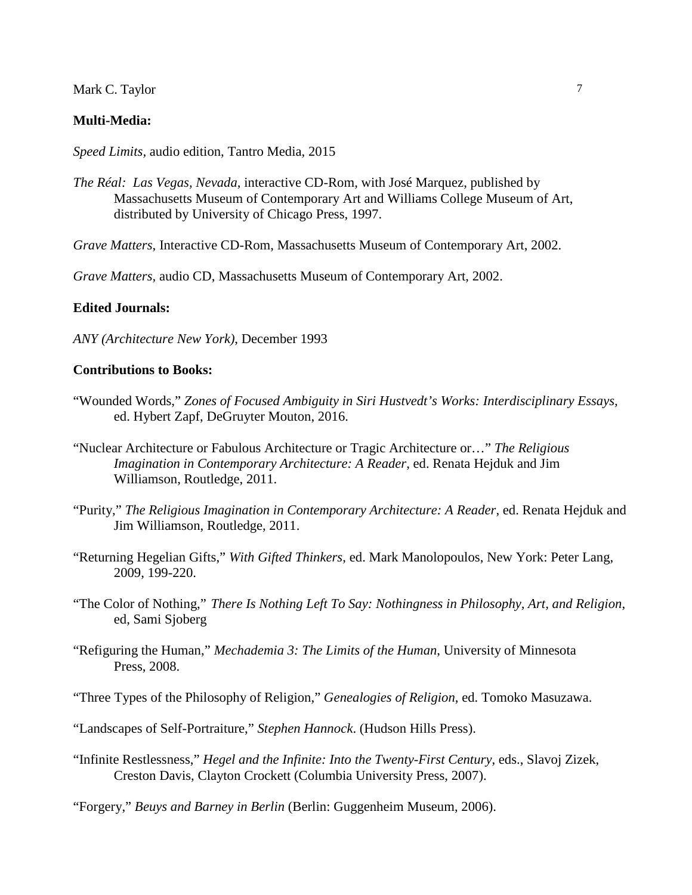#### **Multi-Media:**

*Speed Limits,* audio edition, Tantro Media, 2015

*The Réal: Las Vegas, Nevada*, interactive CD-Rom, with José Marquez, published by Massachusetts Museum of Contemporary Art and Williams College Museum of Art, distributed by University of Chicago Press, 1997.

*Grave Matters*, Interactive CD-Rom, Massachusetts Museum of Contemporary Art, 2002.

*Grave Matters,* audio CD, Massachusetts Museum of Contemporary Art, 2002.

#### **Edited Journals:**

*ANY (Architecture New York)*, December 1993

#### **Contributions to Books:**

- "Wounded Words," *Zones of Focused Ambiguity in Siri Hustvedt's Works: Interdisciplinary Essays,*  ed. Hybert Zapf, DeGruyter Mouton, 2016.
- "Nuclear Architecture or Fabulous Architecture or Tragic Architecture or…" *The Religious Imagination in Contemporary Architecture: A Reader*, ed. Renata Hejduk and Jim Williamson, Routledge, 2011.
- "Purity," *The Religious Imagination in Contemporary Architecture: A Reader*, ed. Renata Hejduk and Jim Williamson, Routledge, 2011.
- "Returning Hegelian Gifts," *With Gifted Thinkers*, ed. Mark Manolopoulos, New York: Peter Lang, 2009, 199-220.
- "The Color of Nothing," *There Is Nothing Left To Say: Nothingness in Philosophy, Art, and Religion,*  ed, Sami Sjoberg
- "Refiguring the Human," *Mechademia 3: The Limits of the Human*, University of Minnesota Press, 2008.
- "Three Types of the Philosophy of Religion," *Genealogies of Religion*, ed. Tomoko Masuzawa.

"Landscapes of Self-Portraiture," *Stephen Hannock*. (Hudson Hills Press).

"Infinite Restlessness," *Hegel and the Infinite: Into the Twenty-First Century*, eds., Slavoj Zizek, Creston Davis, Clayton Crockett (Columbia University Press, 2007).

"Forgery," *Beuys and Barney in Berlin* (Berlin: Guggenheim Museum, 2006).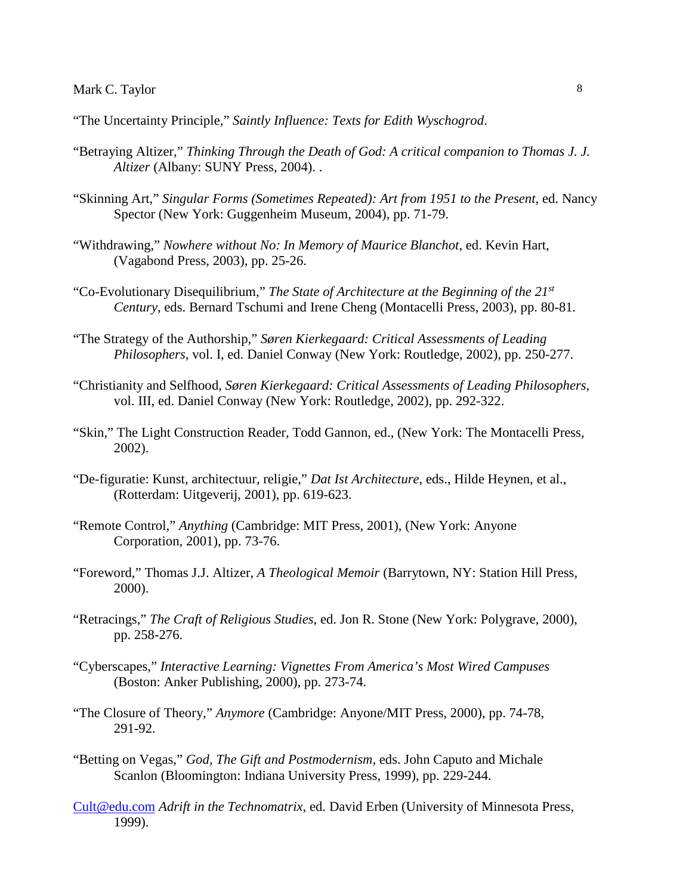"The Uncertainty Principle," *Saintly Influence: Texts for Edith Wyschogrod*.

- "Betraying Altizer," *Thinking Through the Death of God: A critical companion to Thomas J. J. Altizer* (Albany: SUNY Press, 2004). .
- "Skinning Art," *Singular Forms (Sometimes Repeated): Art from 1951 to the Present*, ed. Nancy Spector (New York: Guggenheim Museum, 2004), pp. 71-79.
- "Withdrawing," *Nowhere without No: In Memory of Maurice Blanchot*, ed. Kevin Hart, (Vagabond Press, 2003), pp. 25-26.
- "Co-Evolutionary Disequilibrium," *The State of Architecture at the Beginning of the 21st Century*, eds. Bernard Tschumi and Irene Cheng (Montacelli Press, 2003), pp. 80-81*.*
- "The Strategy of the Authorship," *Søren Kierkegaard: Critical Assessments of Leading Philosophers*, vol. I, ed. Daniel Conway (New York: Routledge, 2002), pp. 250-277.
- "Christianity and Selfhood, *Søren Kierkegaard: Critical Assessments of Leading Philosophers*, vol. III, ed. Daniel Conway (New York: Routledge, 2002), pp. 292-322.
- "Skin," The Light Construction Reader, Todd Gannon, ed., (New York: The Montacelli Press, 2002).
- "De-figuratie: Kunst, architectuur, religie," *Dat Ist Architecture*, eds., Hilde Heynen, et al., (Rotterdam: Uitgeverij, 2001), pp. 619-623.
- "Remote Control," *Anything* (Cambridge: MIT Press, 2001), (New York: Anyone Corporation, 2001), pp. 73-76.
- "Foreword," Thomas J.J. Altizer, *A Theological Memoir* (Barrytown, NY: Station Hill Press, 2000).
- "Retracings," *The Craft of Religious Studies*, ed. Jon R. Stone (New York: Polygrave, 2000), pp. 258-276.
- "Cyberscapes," *Interactive Learning: Vignettes From America's Most Wired Campuses*  (Boston: Anker Publishing, 2000), pp. 273-74.
- "The Closure of Theory," *Anymore* (Cambridge: Anyone/MIT Press, 2000), pp. 74-78, 291-92.
- "Betting on Vegas," *God, The Gift and Postmodernism,* eds. John Caputo and Michale Scanlon (Bloomington: Indiana University Press, 1999), pp. 229-244.
- [Cult@edu.com](mailto:Cult@edu.com) *Adrift in the Technomatrix*, ed. David Erben (University of Minnesota Press, 1999).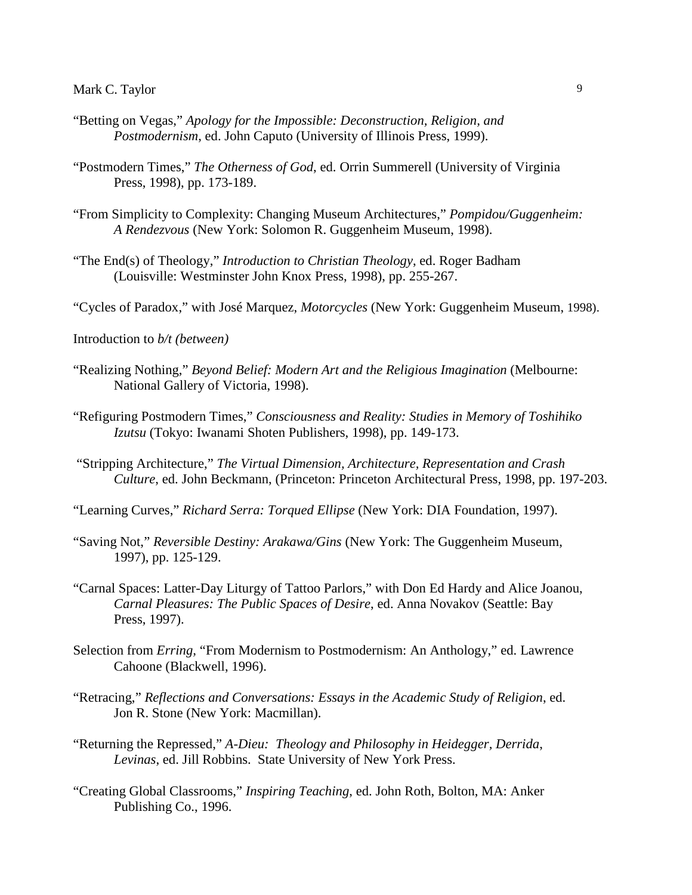- "Betting on Vegas," *Apology for the Impossible: Deconstruction, Religion, and Postmodernism*, ed. John Caputo (University of Illinois Press, 1999).
- "Postmodern Times," *The Otherness of God*, ed. Orrin Summerell (University of Virginia Press, 1998), pp. 173-189.
- "From Simplicity to Complexity: Changing Museum Architectures," *Pompidou/Guggenheim: A Rendezvous* (New York: Solomon R. Guggenheim Museum, 1998).
- "The End(s) of Theology," *Introduction to Christian Theology*, ed. Roger Badham (Louisville: Westminster John Knox Press, 1998), pp. 255-267.

"Cycles of Paradox," with José Marquez, *Motorcycles* (New York: Guggenheim Museum, 1998).

- Introduction to *b/t (between)*
- "Realizing Nothing," *Beyond Belief: Modern Art and the Religious Imagination* (Melbourne: National Gallery of Victoria, 1998).
- "Refiguring Postmodern Times," *Consciousness and Reality: Studies in Memory of Toshihiko Izutsu* (Tokyo: Iwanami Shoten Publishers, 1998), pp. 149-173.
- "Stripping Architecture," *The Virtual Dimension, Architecture, Representation and Crash Culture*, ed. John Beckmann, (Princeton: Princeton Architectural Press, 1998, pp. 197-203.
- "Learning Curves," *Richard Serra: Torqued Ellipse* (New York: DIA Foundation, 1997).
- "Saving Not," *Reversible Destiny: Arakawa/Gins* (New York: The Guggenheim Museum, 1997), pp. 125-129.
- "Carnal Spaces: Latter-Day Liturgy of Tattoo Parlors," with Don Ed Hardy and Alice Joanou, *Carnal Pleasures: The Public Spaces of Desire*, ed. Anna Novakov (Seattle: Bay Press, 1997).
- Selection from *Erring,* "From Modernism to Postmodernism: An Anthology," ed. Lawrence Cahoone (Blackwell, 1996).
- "Retracing," *Reflections and Conversations: Essays in the Academic Study of Religion*, ed. Jon R. Stone (New York: Macmillan).
- "Returning the Repressed," *A-Dieu: Theology and Philosophy in Heidegger, Derrida*, *Levinas*, ed. Jill Robbins. State University of New York Press.
- "Creating Global Classrooms," *Inspiring Teaching*, ed. John Roth, Bolton, MA: Anker Publishing Co., 1996.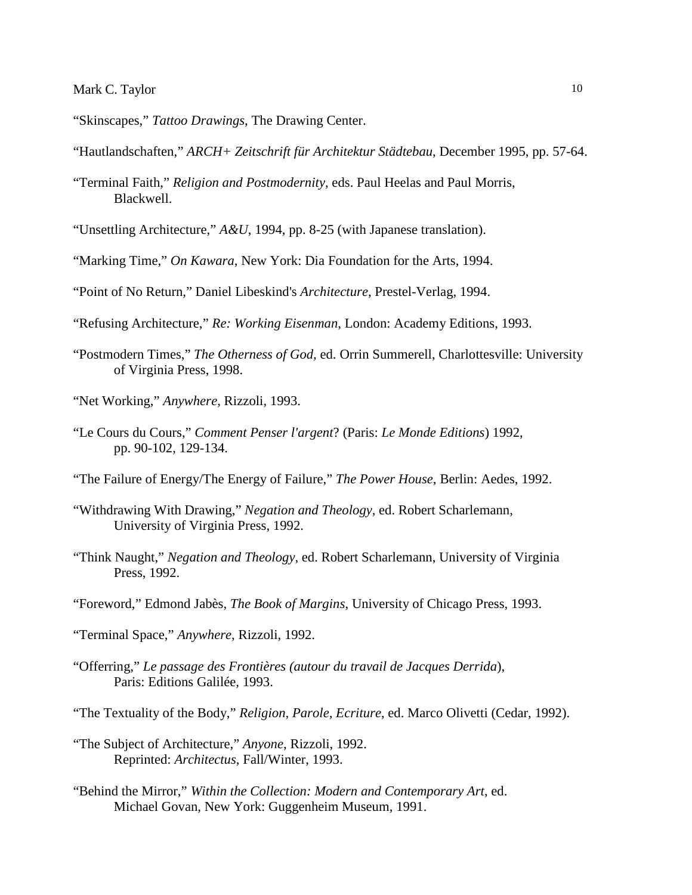- "Skinscapes," *Tattoo Drawings*, The Drawing Center.
- "Hautlandschaften," *ARCH+ Zeitschrift für Architektur Städtebau*, December 1995, pp. 57-64.
- "Terminal Faith," *Religion and Postmodernity*, eds. Paul Heelas and Paul Morris, Blackwell.
- "Unsettling Architecture," *A&U*, 1994, pp. 8-25 (with Japanese translation).
- "Marking Time," *On Kawara*, New York: Dia Foundation for the Arts, 1994.
- "Point of No Return," Daniel Libeskind's *Architecture*, Prestel-Verlag, 1994.
- "Refusing Architecture," *Re: Working Eisenman*, London: Academy Editions, 1993.
- "Postmodern Times," *The Otherness of God,* ed. Orrin Summerell, Charlottesville: University of Virginia Press, 1998.
- "Net Working," *Anywhere*, Rizzoli, 1993.
- "Le Cours du Cours," *Comment Penser l'argent*? (Paris: *Le Monde Editions*) 1992, pp. 90-102, 129-134.
- "The Failure of Energy/The Energy of Failure," *The Power House*, Berlin: Aedes, 1992.
- "Withdrawing With Drawing," *Negation and Theology*, ed. Robert Scharlemann, University of Virginia Press, 1992.
- "Think Naught," *Negation and Theology*, ed. Robert Scharlemann, University of Virginia Press, 1992.
- "Foreword," Edmond Jabès, *The Book of Margins*, University of Chicago Press, 1993.
- "Terminal Space," *Anywhere*, Rizzoli, 1992.
- "Offerring," *Le passage des Frontières (autour du travail de Jacques Derrida*), Paris: Editions Galilée, 1993.
- "The Textuality of the Body," *Religion, Parole, Ecriture*, ed. Marco Olivetti (Cedar, 1992).
- "The Subject of Architecture," *Anyone*, Rizzoli, 1992. Reprinted: *Architectus*, Fall/Winter, 1993.
- "Behind the Mirror," *Within the Collection: Modern and Contemporary Art*, ed. Michael Govan, New York: Guggenheim Museum, 1991.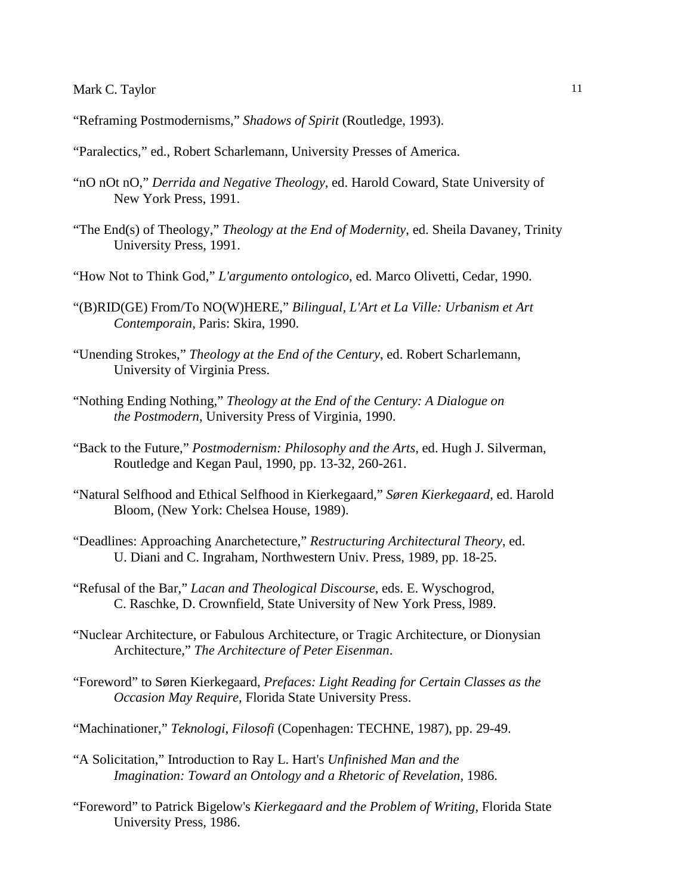- "Reframing Postmodernisms," *Shadows of Spirit* (Routledge, 1993).
- "Paralectics," ed., Robert Scharlemann, University Presses of America.
- "nO nOt nO," *Derrida and Negative Theology*, ed. Harold Coward, State University of New York Press, 1991.
- "The End(s) of Theology," *Theology at the End of Modernity*, ed. Sheila Davaney, Trinity University Press, 1991.
- "How Not to Think God," *L'argumento ontologico*, ed. Marco Olivetti, Cedar, 1990.
- "(B)RID(GE) From/To NO(W)HERE," *Bilingual, L'Art et La Ville: Urbanism et Art Contemporain*, Paris: Skira, 1990.
- "Unending Strokes," *Theology at the End of the Century*, ed. Robert Scharlemann, University of Virginia Press.
- "Nothing Ending Nothing," *Theology at the End of the Century: A Dialogue on the Postmodern*, University Press of Virginia, 1990.
- "Back to the Future," *Postmodernism: Philosophy and the Arts*, ed. Hugh J. Silverman, Routledge and Kegan Paul, 1990, pp. 13-32, 260-261.
- "Natural Selfhood and Ethical Selfhood in Kierkegaard," *Søren Kierkegaard*, ed. Harold Bloom, (New York: Chelsea House, 1989).
- "Deadlines: Approaching Anarchetecture," *Restructuring Architectural Theory*, ed. U. Diani and C. Ingraham, Northwestern Univ. Press, 1989, pp. 18-25.
- "Refusal of the Bar," *Lacan and Theological Discourse*, eds. E. Wyschogrod, C. Raschke, D. Crownfield, State University of New York Press, l989.
- "Nuclear Architecture, or Fabulous Architecture, or Tragic Architecture, or Dionysian Architecture," *The Architecture of Peter Eisenman*.
- "Foreword" to Søren Kierkegaard, *Prefaces: Light Reading for Certain Classes as the Occasion May Require*, Florida State University Press.
- "Machinationer," *Teknologi, Filosofi* (Copenhagen: TECHNE, 1987), pp. 29-49.
- "A Solicitation," Introduction to Ray L. Hart's *Unfinished Man and the Imagination: Toward an Ontology and a Rhetoric of Revelation*, 1986.
- "Foreword" to Patrick Bigelow's *Kierkegaard and the Problem of Writing*, Florida State University Press, 1986.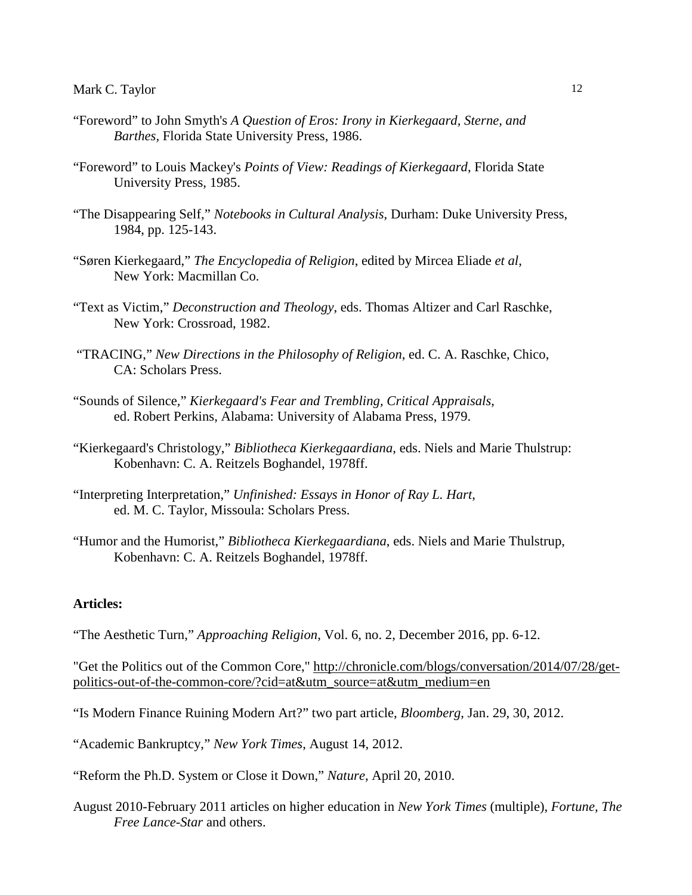- "Foreword" to John Smyth's *A Question of Eros: Irony in Kierkegaard, Sterne, and Barthes,* Florida State University Press, 1986.
- "Foreword" to Louis Mackey's *Points of View: Readings of Kierkegaard*, Florida State University Press, 1985.
- "The Disappearing Self," *Notebooks in Cultural Analysis*, Durham: Duke University Press, 1984, pp. 125-143.
- "Søren Kierkegaard," *The Encyclopedia of Religion*, edited by Mircea Eliade *et al*, New York: Macmillan Co.
- "Text as Victim," *Deconstruction and Theology*, eds. Thomas Altizer and Carl Raschke, New York: Crossroad, 1982.
- "TRACING," *New Directions in the Philosophy of Religion*, ed. C. A. Raschke, Chico, CA: Scholars Press.
- "Sounds of Silence*,*" *Kierkegaard's Fear and Trembling, Critical Appraisals*, ed. Robert Perkins, Alabama: University of Alabama Press, 1979.
- "Kierkegaard's Christology," *Bibliotheca Kierkegaardiana*, eds. Niels and Marie Thulstrup: Kobenhavn: C. A. Reitzels Boghandel, 1978ff.
- "Interpreting Interpretation," *Unfinished: Essays in Honor of Ray L. Hart*, ed. M. C. Taylor, Missoula: Scholars Press.
- "Humor and the Humorist," *Bibliotheca Kierkegaardiana*, eds. Niels and Marie Thulstrup, Kobenhavn: C. A. Reitzels Boghandel, 1978ff.

#### **Articles:**

"The Aesthetic Turn," *Approaching Religion,* Vol. 6, no. 2, December 2016, pp. 6-12.

"Get the Politics out of the Common Core," [http://chronicle.com/blogs/conversation/2014/07/28/get](http://chronicle.com/blogs/conversation/2014/07/28/get-politics-out-of-the-common-core/?cid=at&utm_source=at&utm_medium=en)[politics-out-of-the-common-core/?cid=at&utm\\_source=at&utm\\_medium=en](http://chronicle.com/blogs/conversation/2014/07/28/get-politics-out-of-the-common-core/?cid=at&utm_source=at&utm_medium=en)

- "Is Modern Finance Ruining Modern Art?" two part article, *Bloomberg*, Jan. 29, 30, 2012.
- "Academic Bankruptcy," *New York Times*, August 14, 2012.
- "Reform the Ph.D. System or Close it Down," *Nature*, April 20, 2010.
- August 2010-February 2011 articles on higher education in *New York Times* (multiple), *Fortune, The Free Lance-Star* and others.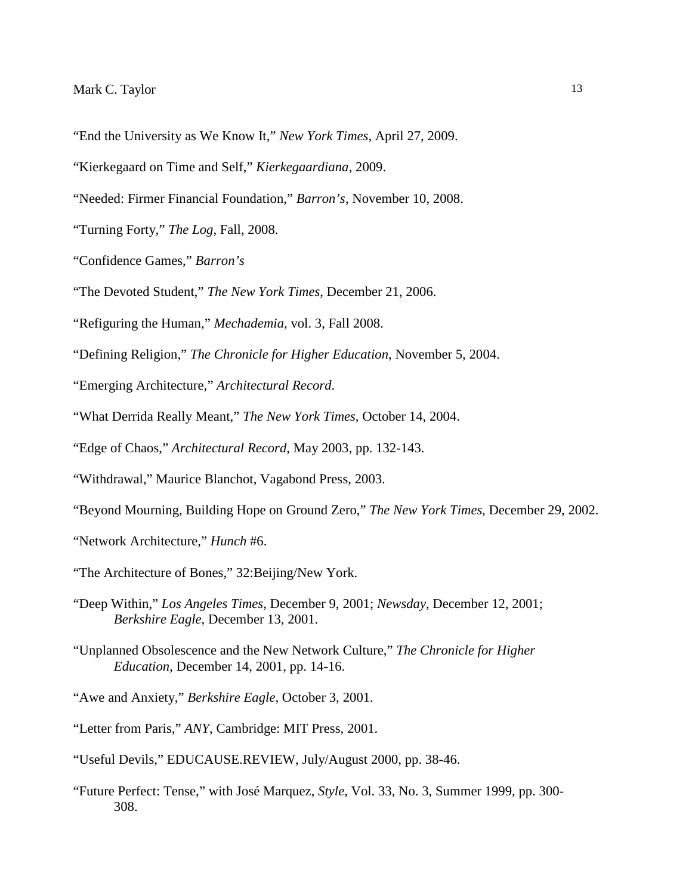- "End the University as We Know It," *New York Times,* April 27, 2009.
- "Kierkegaard on Time and Self," *Kierkegaardiana*, 2009.
- "Needed: Firmer Financial Foundation," *Barron's,* November 10, 2008.
- "Turning Forty," *The Log*, Fall, 2008.
- "Confidence Games," *Barron's*
- "The Devoted Student," *The New York Times*, December 21, 2006.
- "Refiguring the Human," *Mechademia,* vol. 3, Fall 2008.
- "Defining Religion," *The Chronicle for Higher Education*, November 5, 2004.
- "Emerging Architecture," *Architectural Record*.
- "What Derrida Really Meant," *The New York Times*, October 14, 2004.
- "Edge of Chaos," *Architectural Record*, May 2003, pp. 132-143.
- "Withdrawal," Maurice Blanchot, Vagabond Press, 2003.
- "Beyond Mourning, Building Hope on Ground Zero," *The New York Times*, December 29, 2002.
- "Network Architecture," *Hunch* #6.
- "The Architecture of Bones," 32:Beijing/New York.
- "Deep Within," *Los Angeles Times*, December 9, 2001; *Newsday*, December 12, 2001; *Berkshire Eagle*, December 13, 2001.
- "Unplanned Obsolescence and the New Network Culture," *The Chronicle for Higher Education*, December 14, 2001, pp. 14-16.
- "Awe and Anxiety," *Berkshire Eagle*, October 3, 2001.
- "Letter from Paris," *ANY*, Cambridge: MIT Press, 2001.
- "Useful Devils," EDUCAUSE.REVIEW, July/August 2000, pp. 38-46.
- "Future Perfect: Tense," with José Marquez, *Style*, Vol. 33, No. 3, Summer 1999, pp. 300- 308.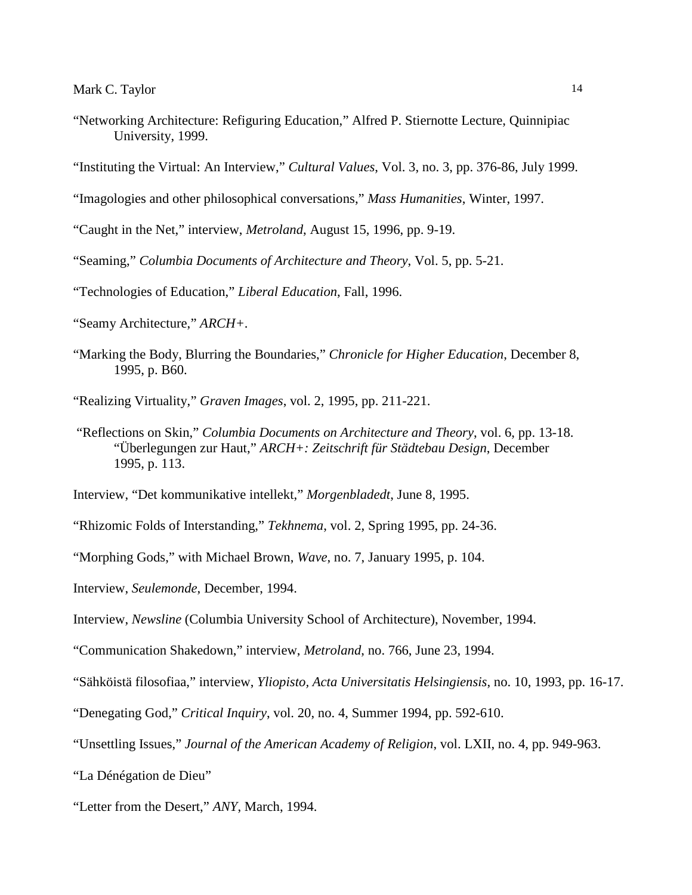- "Networking Architecture: Refiguring Education," Alfred P. Stiernotte Lecture, Quinnipiac University, 1999.
- "Instituting the Virtual: An Interview," *Cultural Values*, Vol. 3, no. 3, pp. 376-86, July 1999.
- "Imagologies and other philosophical conversations," *Mass Humanities*, Winter, 1997.
- "Caught in the Net," interview, *Metroland*, August 15, 1996, pp. 9-19.
- "Seaming," *Columbia Documents of Architecture and Theory*, Vol. 5, pp. 5-21.
- "Technologies of Education," *Liberal Education*, Fall, 1996.
- "Seamy Architecture," *ARCH+*.
- "Marking the Body, Blurring the Boundaries," *Chronicle for Higher Education*, December 8, 1995, p. B60.
- "Realizing Virtuality," *Graven Images*, vol. 2, 1995, pp. 211-221.
- "Reflections on Skin," *Columbia Documents on Architecture and Theory*, vol. 6, pp. 13-18. "Überlegungen zur Haut," *ARCH+: Zeitschrift für Städtebau Design*, December 1995, p. 113.
- Interview, "Det kommunikative intellekt," *Morgenbladedt*, June 8, 1995.
- "Rhizomic Folds of Interstanding," *Tekhnema*, vol. 2, Spring 1995, pp. 24-36.
- "Morphing Gods," with Michael Brown, *Wave*, no. 7, January 1995, p. 104.
- Interview, *Seulemonde*, December, 1994.
- Interview, *Newsline* (Columbia University School of Architecture), November, 1994.
- "Communication Shakedown," interview, *Metroland*, no. 766, June 23, 1994.
- "Sähköistä filosofiaa," interview, *Yliopisto, Acta Universitatis Helsingiensis*, no. 10, 1993, pp. 16-17.
- "Denegating God," *Critical Inquiry*, vol. 20, no. 4, Summer 1994, pp. 592-610.
- "Unsettling Issues," *Journal of the American Academy of Religion*, vol. LXII, no. 4, pp. 949-963.
- "La Dénégation de Dieu"
- "Letter from the Desert," *ANY*, March, 1994.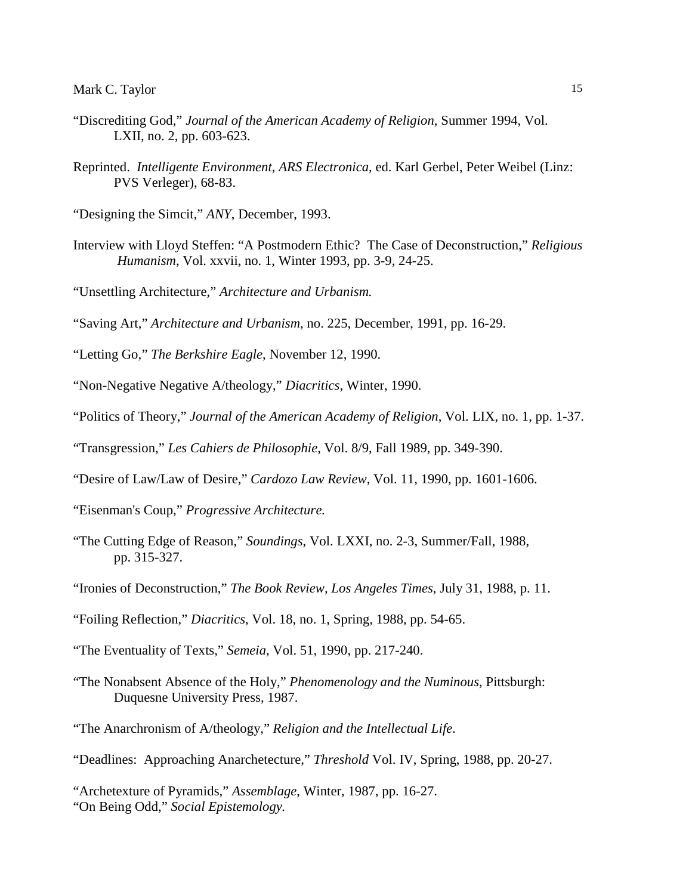- "Discrediting God," *Journal of the American Academy of Religion*, Summer 1994, Vol. LXII, no. 2, pp. 603-623.
- Reprinted. *Intelligente Environment*, *ARS Electronica*, ed. Karl Gerbel, Peter Weibel (Linz: PVS Verleger), 68-83.

"Designing the Simcit," *ANY*, December, 1993.

- Interview with Lloyd Steffen: "A Postmodern Ethic? The Case of Deconstruction," *Religious Humanism*, Vol. xxvii, no. 1, Winter 1993, pp. 3-9, 24-25.
- "Unsettling Architecture," *Architecture and Urbanism.*
- "Saving Art," *Architecture and Urbanism*, no. 225, December, 1991, pp. 16-29.
- "Letting Go," *The Berkshire Eagle*, November 12, 1990.
- "Non-Negative Negative A/theology," *Diacritics*, Winter, 1990.
- "Politics of Theory," *Journal of the American Academy of Religion*, Vol. LIX, no. 1, pp. 1-37.
- "Transgression," *Les Cahiers de Philosophie*, Vol. 8/9, Fall 1989, pp. 349-390.
- "Desire of Law/Law of Desire," *Cardozo Law Review*, Vol. 11, 1990, pp. 1601-1606.
- "Eisenman's Coup," *Progressive Architecture.*
- "The Cutting Edge of Reason," *Soundings*, Vol. LXXI, no. 2-3, Summer/Fall, 1988, pp. 315-327.
- "Ironies of Deconstruction," *The Book Review, Los Angeles Times*, July 31, 1988, p. 11.
- "Foiling Reflection," *Diacritics*, Vol. 18, no. 1, Spring, 1988, pp. 54-65.
- "The Eventuality of Texts," *Semeia*, Vol. 51, 1990, pp. 217-240.
- "The Nonabsent Absence of the Holy," *Phenomenology and the Numinous*, Pittsburgh: Duquesne University Press, 1987.
- "The Anarchronism of A/theology," *Religion and the Intellectual Life*.
- "Deadlines: Approaching Anarchetecture," *Threshold* Vol. IV, Spring, 1988, pp. 20-27.

"Archetexture of Pyramids," *Assemblage*, Winter, 1987, pp. 16-27. "On Being Odd," *Social Epistemology.*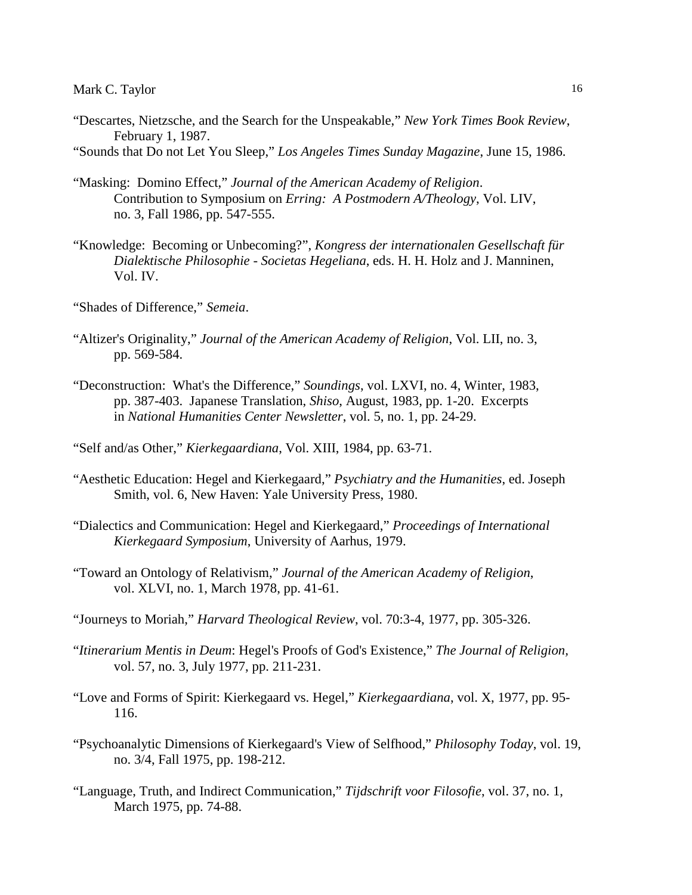"Descartes, Nietzsche, and the Search for the Unspeakable," *New York Times Book Review*, February 1, 1987.

"Sounds that Do not Let You Sleep," *Los Angeles Times Sunday Magazine*, June 15, 1986.

- "Masking: Domino Effect," *Journal of the American Academy of Religion*. Contribution to Symposium on *Erring: A Postmodern A/Theology*, Vol. LIV, no. 3, Fall 1986, pp. 547-555.
- "Knowledge: Becoming or Unbecoming?", *Kongress der internationalen Gesellschaft für Dialektische Philosophie - Societas Hegeliana*, eds. H. H. Holz and J. Manninen, Vol. IV.
- "Shades of Difference," *Semeia*.
- "Altizer's Originality," *Journal of the American Academy of Religion*, Vol. LII, no. 3, pp. 569-584.
- "Deconstruction: What's the Difference," *Soundings*, vol. LXVI, no. 4, Winter, 1983, pp. 387-403. Japanese Translation, *Shiso*, August, 1983, pp. 1-20. Excerpts in *National Humanities Center Newsletter*, vol. 5, no. 1, pp. 24-29.
- "Self and/as Other," *Kierkegaardiana*, Vol. XIII, 1984, pp. 63-71.
- "Aesthetic Education: Hegel and Kierkegaard," *Psychiatry and the Humanities*, ed. Joseph Smith, vol. 6, New Haven: Yale University Press, 1980.
- "Dialectics and Communication: Hegel and Kierkegaard," *Proceedings of International Kierkegaard Symposium*, University of Aarhus, 1979.
- "Toward an Ontology of Relativism," *Journal of the American Academy of Religion*, vol. XLVI, no. 1, March 1978, pp. 41-61.
- "Journeys to Moriah," *Harvard Theological Review*, vol. 70:3-4, 1977, pp. 305-326.
- "*Itinerarium Mentis in Deum*: Hegel's Proofs of God's Existence," *The Journal of Religion,* vol. 57, no. 3, July 1977, pp. 211-231.
- "Love and Forms of Spirit: Kierkegaard vs. Hegel," *Kierkegaardiana*, vol. X, 1977, pp. 95- 116.
- "Psychoanalytic Dimensions of Kierkegaard's View of Selfhood," *Philosophy Today*, vol. 19, no. 3/4, Fall 1975, pp. 198-212.
- "Language, Truth, and Indirect Communication," *Tijdschrift voor Filosofie*, vol. 37, no. 1, March 1975, pp. 74-88.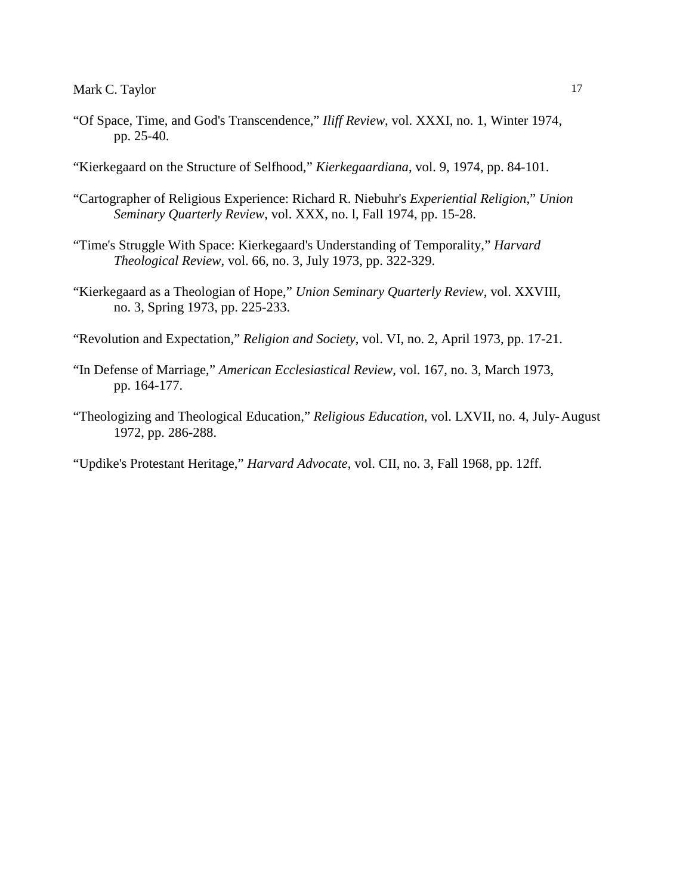- "Of Space, Time, and God's Transcendence," *Iliff Review*, vol. XXXI, no. 1, Winter 1974, pp. 25-40.
- "Kierkegaard on the Structure of Selfhood," *Kierkegaardiana*, vol. 9, 1974, pp. 84-101.
- "Cartographer of Religious Experience: Richard R. Niebuhr's *Experiential Religion*," *Union Seminary Quarterly Review*, vol. XXX, no. l, Fall 1974, pp. 15-28.
- "Time's Struggle With Space: Kierkegaard's Understanding of Temporality," *Harvard Theological Review*, vol. 66, no. 3, July 1973, pp. 322-329.
- "Kierkegaard as a Theologian of Hope," *Union Seminary Quarterly Review*, vol. XXVIII, no. 3, Spring 1973, pp. 225-233.

"Revolution and Expectation," *Religion and Society*, vol. VI, no. 2, April 1973, pp. 17-21.

- "In Defense of Marriage," *American Ecclesiastical Review*, vol. 167, no. 3, March 1973, pp. 164-177.
- "Theologizing and Theological Education," *Religious Education*, vol. LXVII, no. 4, July-August 1972, pp. 286-288.

"Updike's Protestant Heritage," *Harvard Advocate*, vol. CII, no. 3, Fall 1968, pp. 12ff.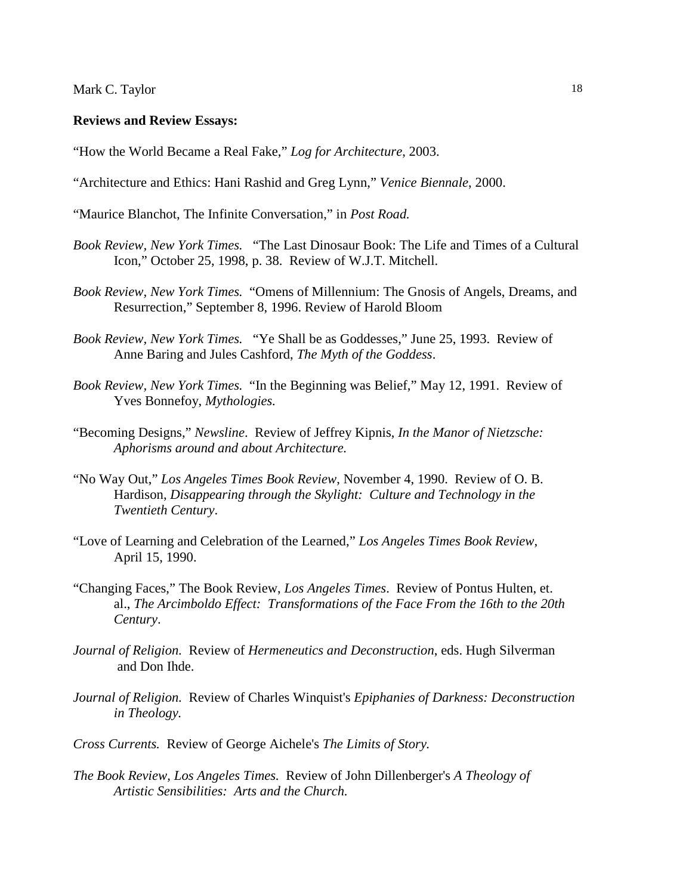#### **Reviews and Review Essays:**

"How the World Became a Real Fake," *Log for Architecture*, 2003.

- "Architecture and Ethics: Hani Rashid and Greg Lynn," *Venice Biennale*, 2000.
- "Maurice Blanchot, The Infinite Conversation," in *Post Road.*
- *Book Review, New York Times.* "The Last Dinosaur Book: The Life and Times of a Cultural Icon," October 25, 1998, p. 38. Review of W.J.T. Mitchell.
- *Book Review, New York Times.* "Omens of Millennium: The Gnosis of Angels, Dreams, and Resurrection," September 8, 1996. Review of Harold Bloom
- *Book Review, New York Times.* "Ye Shall be as Goddesses," June 25, 1993. Review of Anne Baring and Jules Cashford, *The Myth of the Goddess*.
- *Book Review, New York Times.* "In the Beginning was Belief," May 12, 1991. Review of Yves Bonnefoy, *Mythologies.*
- "Becoming Designs," *Newsline*. Review of Jeffrey Kipnis, *In the Manor of Nietzsche: Aphorisms around and about Architecture.*
- "No Way Out," *Los Angeles Times Book Review*, November 4, 1990. Review of O. B. Hardison, *Disappearing through the Skylight: Culture and Technology in the Twentieth Century*.
- "Love of Learning and Celebration of the Learned," *Los Angeles Times Book Review*, April 15, 1990.
- "Changing Faces," The Book Review, *Los Angeles Times*. Review of Pontus Hulten, et. al., *The Arcimboldo Effect: Transformations of the Face From the 16th to the 20th Century*.
- *Journal of Religion.* Review of *Hermeneutics and Deconstruction*, eds. Hugh Silverman and Don Ihde.
- *Journal of Religion.* Review of Charles Winquist's *Epiphanies of Darkness: Deconstruction in Theology.*
- *Cross Currents.* Review of George Aichele's *The Limits of Story.*
- *The Book Review, Los Angeles Times.* Review of John Dillenberger's *A Theology of Artistic Sensibilities: Arts and the Church.*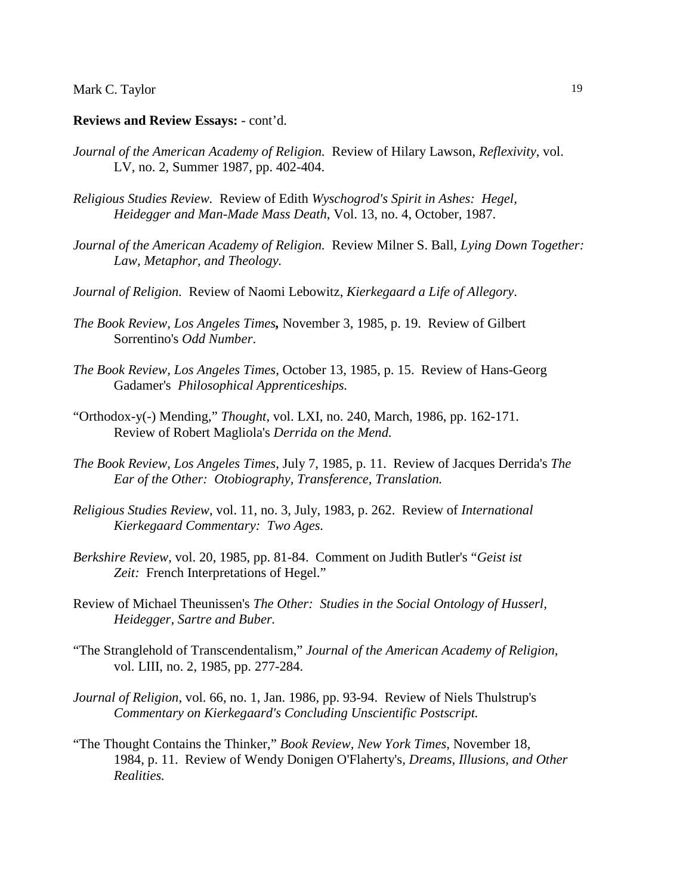#### **Reviews and Review Essays:** - cont'd.

- *Journal of the American Academy of Religion.* Review of Hilary Lawson, *Reflexivity*, vol. LV, no. 2, Summer 1987, pp. 402-404.
- *Religious Studies Review.* Review of Edith *Wyschogrod's Spirit in Ashes: Hegel, Heidegger and Man-Made Mass Death*, Vol. 13, no. 4, October, 1987.
- *Journal of the American Academy of Religion.* Review Milner S. Ball, *Lying Down Together: Law, Metaphor, and Theology.*
- *Journal of Religion.* Review of Naomi Lebowitz, *Kierkegaard a Life of Allegory*.
- *The Book Review, Los Angeles Times,* November 3, 1985, p. 19. Review of Gilbert Sorrentino's *Odd Number*.
- *The Book Review, Los Angeles Times,* October 13, 1985, p. 15. Review of Hans-Georg Gadamer's *Philosophical Apprenticeships.*
- "Orthodox-y(-) Mending," *Thought*, vol. LXI, no. 240, March, 1986, pp. 162-171. Review of Robert Magliola's *Derrida on the Mend.*
- *The Book Review, Los Angeles Times*, July 7, 1985, p. 11. Review of Jacques Derrida's *The Ear of the Other: Otobiography, Transference, Translation.*
- *Religious Studies Review*, vol. 11, no. 3, July, 1983, p. 262. Review of *International Kierkegaard Commentary: Two Ages.*
- *Berkshire Review*, vol. 20, 1985, pp. 81-84. Comment on Judith Butler's "*Geist ist Zeit:* French Interpretations of Hegel."
- Review of Michael Theunissen's *The Other: Studies in the Social Ontology of Husserl, Heidegger, Sartre and Buber.*
- "The Stranglehold of Transcendentalism," *Journal of the American Academy of Religion,* vol. LIII, no. 2, 1985, pp. 277-284.
- *Journal of Religion*, vol. 66, no. 1, Jan. 1986, pp. 93-94. Review of Niels Thulstrup's *Commentary on Kierkegaard's Concluding Unscientific Postscript.*
- "The Thought Contains the Thinker," *Book Review, New York Times*, November 18, 1984, p. 11. Review of Wendy Donigen O'Flaherty's*, Dreams, Illusions, and Other Realities.*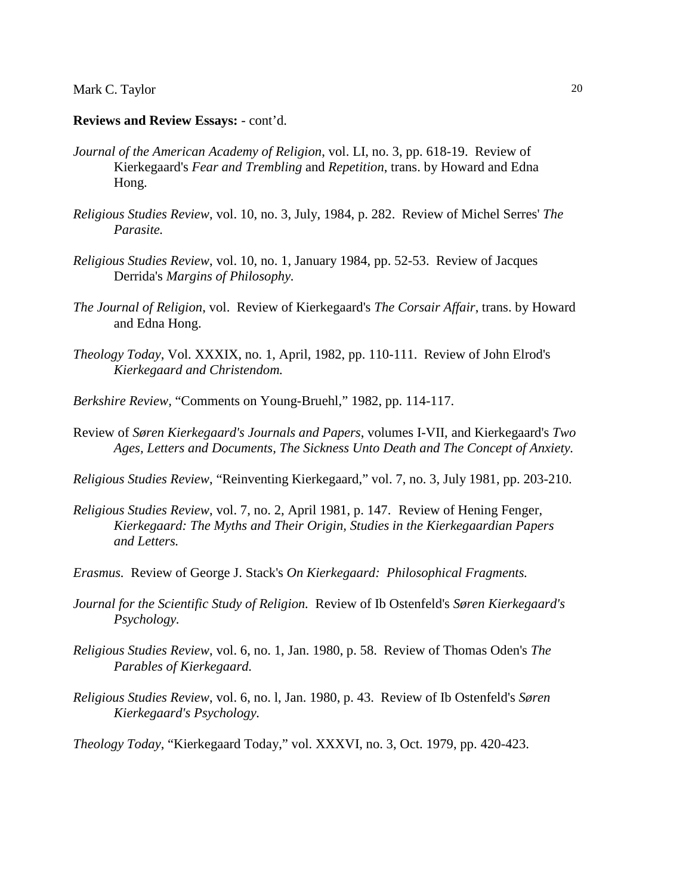#### **Reviews and Review Essays:** - cont'd.

- *Journal of the American Academy of Religion*, vol. LI, no. 3, pp. 618-19. Review of Kierkegaard's *Fear and Trembling* and *Repetition*, trans. by Howard and Edna Hong.
- *Religious Studies Review*, vol. 10, no. 3, July, 1984, p. 282. Review of Michel Serres' *The Parasite.*
- *Religious Studies Review*, vol. 10, no. 1, January 1984, pp. 52-53. Review of Jacques Derrida's *Margins of Philosophy.*
- *The Journal of Religion*, vol. Review of Kierkegaard's *The Corsair Affair*, trans. by Howard and Edna Hong.
- *Theology Today*, Vol. XXXIX, no. 1, April, 1982, pp. 110-111. Review of John Elrod's *Kierkegaard and Christendom.*
- *Berkshire Review,* "Comments on Young-Bruehl," 1982, pp. 114-117.
- Review of *Søren Kierkegaard's Journals and Papers*, volumes I-VII, and Kierkegaard's *Two Ages, Letters and Documents, The Sickness Unto Death and The Concept of Anxiety.*
- *Religious Studies Review*, "Reinventing Kierkegaard," vol. 7, no. 3, July 1981, pp. 203-210.
- *Religious Studies Review*, vol. 7, no. 2, April 1981, p. 147. Review of Hening Fenger, *Kierkegaard: The Myths and Their Origin, Studies in the Kierkegaardian Papers and Letters.*
- *Erasmus.* Review of George J. Stack's *On Kierkegaard: Philosophical Fragments.*
- *Journal for the Scientific Study of Religion.* Review of Ib Ostenfeld's *Søren Kierkegaard's Psychology.*
- *Religious Studies Review*, vol. 6, no. 1, Jan. 1980, p. 58. Review of Thomas Oden's *The Parables of Kierkegaard.*
- *Religious Studies Review*, vol. 6, no. l, Jan. 1980, p. 43. Review of Ib Ostenfeld's *Søren Kierkegaard's Psychology.*

*Theology Today*, "Kierkegaard Today," vol. XXXVI, no. 3, Oct. 1979, pp. 420-423.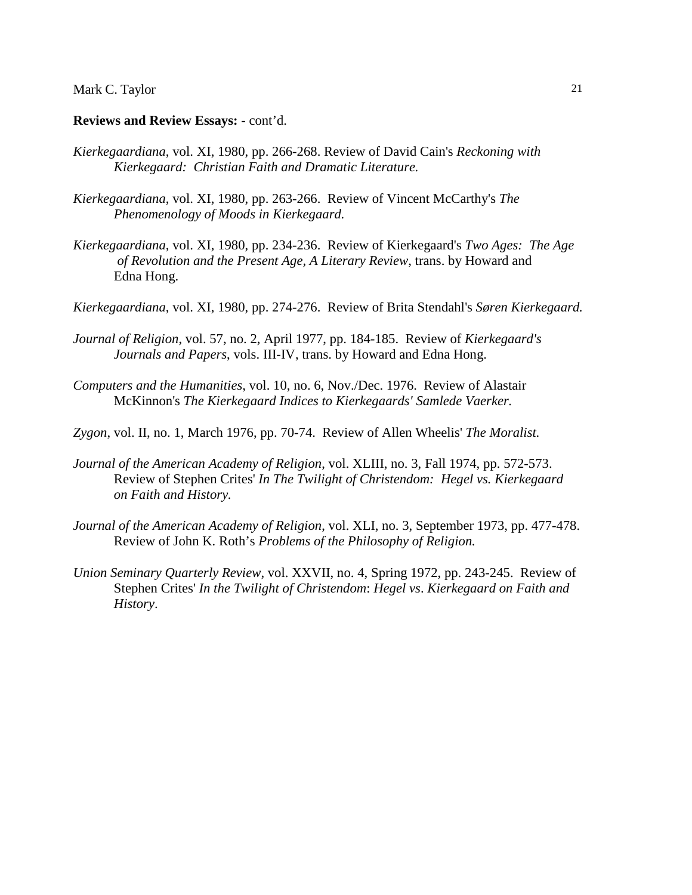#### **Reviews and Review Essays:** - cont'd.

- *Kierkegaardiana*, vol. XI, 1980, pp. 266-268. Review of David Cain's *Reckoning with Kierkegaard: Christian Faith and Dramatic Literature.*
- *Kierkegaardiana*, vol. XI, 1980, pp. 263-266. Review of Vincent McCarthy's *The Phenomenology of Moods in Kierkegaard.*
- *Kierkegaardiana*, vol. XI, 1980, pp. 234-236. Review of Kierkegaard's *Two Ages: The Age of Revolution and the Present Age, A Literary Review*, trans. by Howard and Edna Hong.
- *Kierkegaardiana*, vol. XI, 1980, pp. 274-276. Review of Brita Stendahl's *Søren Kierkegaard.*
- *Journal of Religion*, vol. 57, no. 2, April 1977, pp. 184-185. Review of *Kierkegaard's Journals and Papers*, vols. III-IV, trans. by Howard and Edna Hong.
- *Computers and the Humanities*, vol. 10, no. 6, Nov./Dec. 1976. Review of Alastair McKinnon's *The Kierkegaard Indices to Kierkegaards' Samlede Vaerker.*
- *Zygon*, vol. II, no. 1, March 1976, pp. 70-74. Review of Allen Wheelis' *The Moralist.*
- *Journal of the American Academy of Religion*, vol. XLIII, no. 3, Fall 1974, pp. 572-573. Review of Stephen Crites' *In The Twilight of Christendom: Hegel vs. Kierkegaard on Faith and History.*
- *Journal of the American Academy of Religion*, vol. XLI, no. 3, September 1973, pp. 477-478. Review of John K. Roth's *Problems of the Philosophy of Religion.*
- *Union Seminary Quarterly Review*, vol. XXVII, no. 4, Spring 1972, pp. 243-245. Review of Stephen Crites' *In the Twilight of Christendom*: *Hegel vs*. *Kierkegaard on Faith and History*.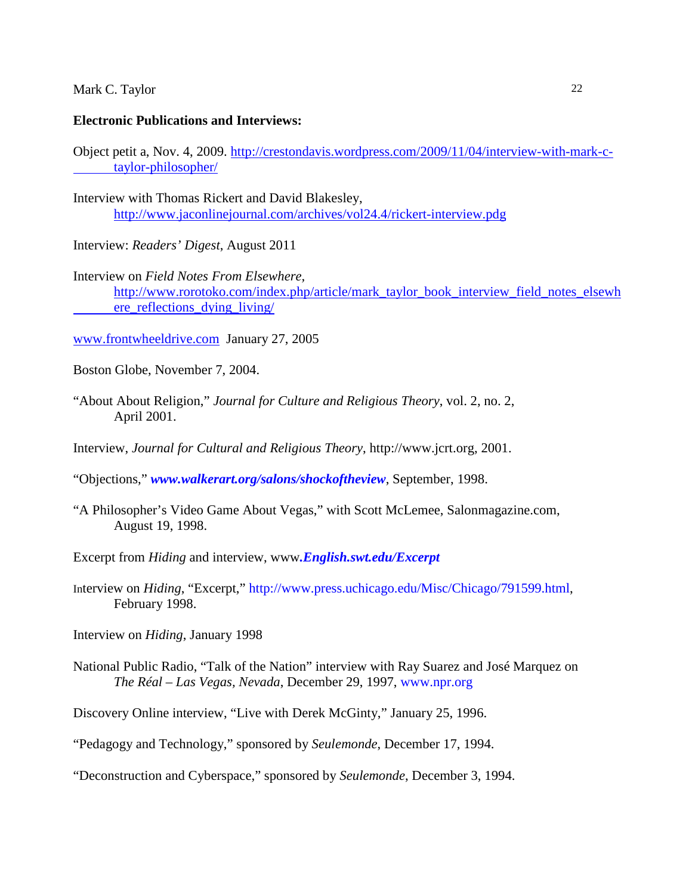#### **Electronic Publications and Interviews:**

Object petit a, Nov. 4, 2009. [http://crestondavis.wordpress.com/2009/11/04/interview-with-mark-c](http://crestondavis.wordpress.com/2009/11/04/interview-with-mark-c-%09taylor-philosopher/)[taylor-philosopher/](http://crestondavis.wordpress.com/2009/11/04/interview-with-mark-c-%09taylor-philosopher/)

- Interview with Thomas Rickert and David Blakesley, <http://www.jaconlinejournal.com/archives/vol24.4/rickert-interview.pdg>
- Interview: *Readers' Digest*, August 2011
- Interview on *Field Notes From Elsewhere,*  [http://www.rorotoko.com/index.php/article/mark\\_taylor\\_book\\_interview\\_field\\_notes\\_elsewh](http://www.rorotoko.com/index.php/article/mark_taylor_book_interview_field_notes_elsewh%09ere_reflections_dying_living/) [ere\\_reflections\\_dying\\_living/](http://www.rorotoko.com/index.php/article/mark_taylor_book_interview_field_notes_elsewh%09ere_reflections_dying_living/)
- [www.frontwheeldrive.com](http://www.frontwheeldrive.com/) January 27, 2005
- Boston Globe, November 7, 2004.
- "About About Religion," *Journal for Culture and Religious Theory*, vol. 2, no. 2, April 2001.
- Interview, *Journal for Cultural and Religious Theory*, http://www.jcrt.org, 2001.
- "Objections," *[www.walkerart.org/salons/shockoftheview](http://www.walkerart.org/salons/shockoftheview)*, September, 1998.
- "A Philosopher's Video Game About Vegas," with Scott McLemee, Salonmagazine.com, August 19, 1998.
- Excerpt from *Hiding* and interview, www*[.English.swt.edu/Excerpt](http://.english.swt.edu/Excerpt)*
- Interview on *Hiding*, "Excerpt," [http://www.press.uchicago.edu/Misc/Chicago/791599.html,](http://www.press.uchicago.edu/Misc/Chicago/791599.html) February 1998.
- Interview on *Hiding*, January 1998
- National Public Radio, "Talk of the Nation" interview with Ray Suarez and José Marquez on *The Réal – Las Vegas, Nevada*, December 29, 1997, [www.npr.org](http://www.npr.org/)
- Discovery Online interview, "Live with Derek McGinty," January 25, 1996.
- "Pedagogy and Technology," sponsored by *Seulemonde*, December 17, 1994.

"Deconstruction and Cyberspace," sponsored by *Seulemonde*, December 3, 1994.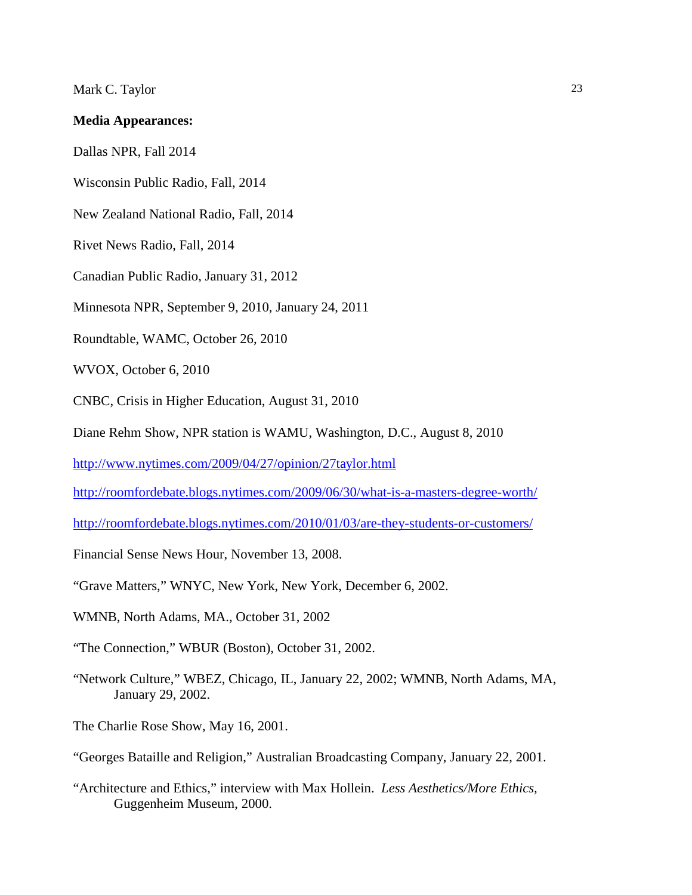#### **Media Appearances:**

Dallas NPR, Fall 2014

Wisconsin Public Radio, Fall, 2014

New Zealand National Radio, Fall, 2014

Rivet News Radio, Fall, 2014

Canadian Public Radio, January 31, 2012

Minnesota NPR, September 9, 2010, January 24, 2011

Roundtable, WAMC, October 26, 2010

WVOX, October 6, 2010

CNBC, Crisis in Higher Education, August 31, 2010

Diane Rehm Show, NPR station is WAMU, Washington, D.C., August 8, 2010

<http://www.nytimes.com/2009/04/27/opinion/27taylor.html>

<http://roomfordebate.blogs.nytimes.com/2009/06/30/what-is-a-masters-degree-worth/>

<http://roomfordebate.blogs.nytimes.com/2010/01/03/are-they-students-or-customers/>

Financial Sense News Hour, November 13, 2008.

"Grave Matters," WNYC, New York, New York, December 6, 2002.

WMNB, North Adams, MA., October 31, 2002

"The Connection," WBUR (Boston), October 31, 2002.

- "Network Culture," WBEZ, Chicago, IL, January 22, 2002; WMNB, North Adams, MA, January 29, 2002.
- The Charlie Rose Show, May 16, 2001.
- "Georges Bataille and Religion," Australian Broadcasting Company, January 22, 2001.

"Architecture and Ethics," interview with Max Hollein. *Less Aesthetics/More Ethics,* Guggenheim Museum, 2000.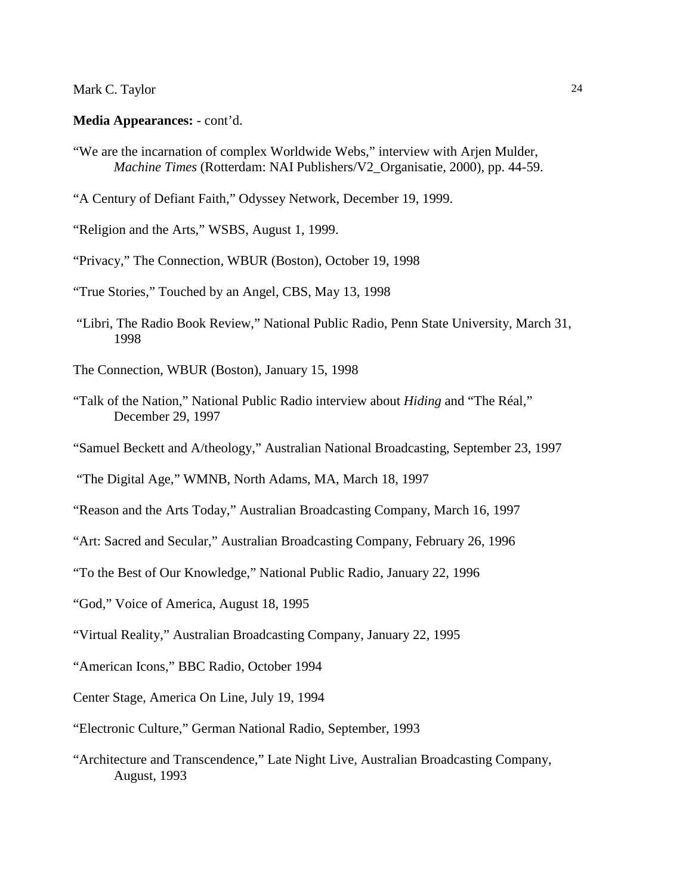#### **Media Appearances:** - cont'd.

- "We are the incarnation of complex Worldwide Webs," interview with Arjen Mulder, *Machine Times* (Rotterdam: NAI Publishers/V2\_Organisatie, 2000), pp. 44-59.
- "A Century of Defiant Faith," Odyssey Network, December 19, 1999.

"Religion and the Arts," WSBS, August 1, 1999.

"Privacy," The Connection, WBUR (Boston), October 19, 1998

"True Stories," Touched by an Angel, CBS, May 13, 1998

"Libri, The Radio Book Review," National Public Radio, Penn State University, March 31, 1998

The Connection, WBUR (Boston), January 15, 1998

- "Talk of the Nation," National Public Radio interview about *Hiding* and "The Réal," December 29, 1997
- "Samuel Beckett and A/theology," Australian National Broadcasting, September 23, 1997

"The Digital Age," WMNB, North Adams, MA, March 18, 1997

- "Reason and the Arts Today," Australian Broadcasting Company, March 16, 1997
- "Art: Sacred and Secular," Australian Broadcasting Company, February 26, 1996
- "To the Best of Our Knowledge," National Public Radio, January 22, 1996
- "God," Voice of America, August 18, 1995
- "Virtual Reality," Australian Broadcasting Company, January 22, 1995
- "American Icons," BBC Radio, October 1994
- Center Stage, America On Line, July 19, 1994
- "Electronic Culture," German National Radio, September, 1993
- "Architecture and Transcendence," Late Night Live, Australian Broadcasting Company, August, 1993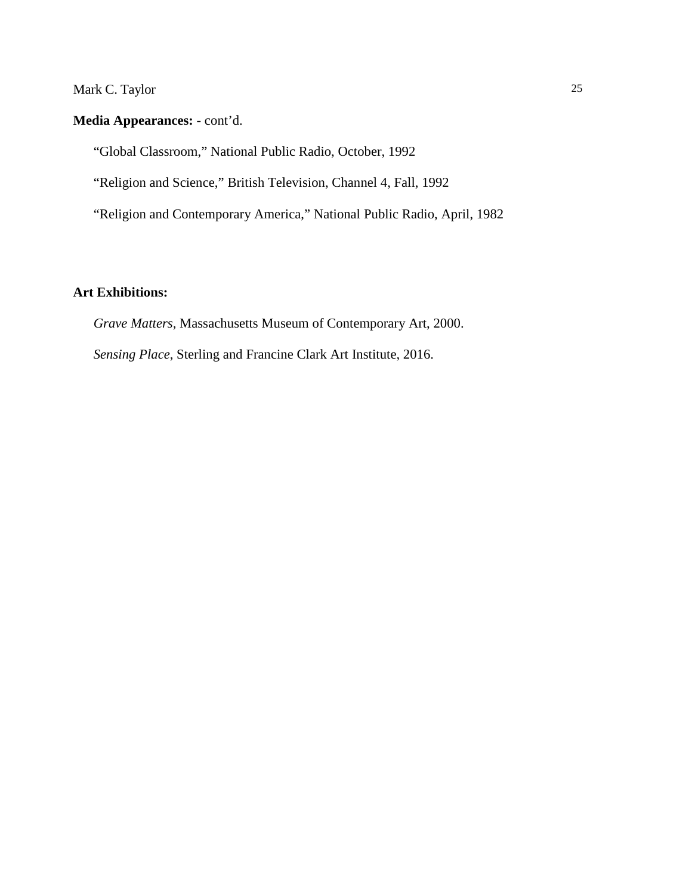## **Media Appearances:** - cont'd.

"Global Classroom," National Public Radio, October, 1992

"Religion and Science," British Television, Channel 4, Fall, 1992

"Religion and Contemporary America," National Public Radio, April, 1982

## **Art Exhibitions:**

*Grave Matters,* Massachusetts Museum of Contemporary Art, 2000.

*Sensing Place*, Sterling and Francine Clark Art Institute, 2016.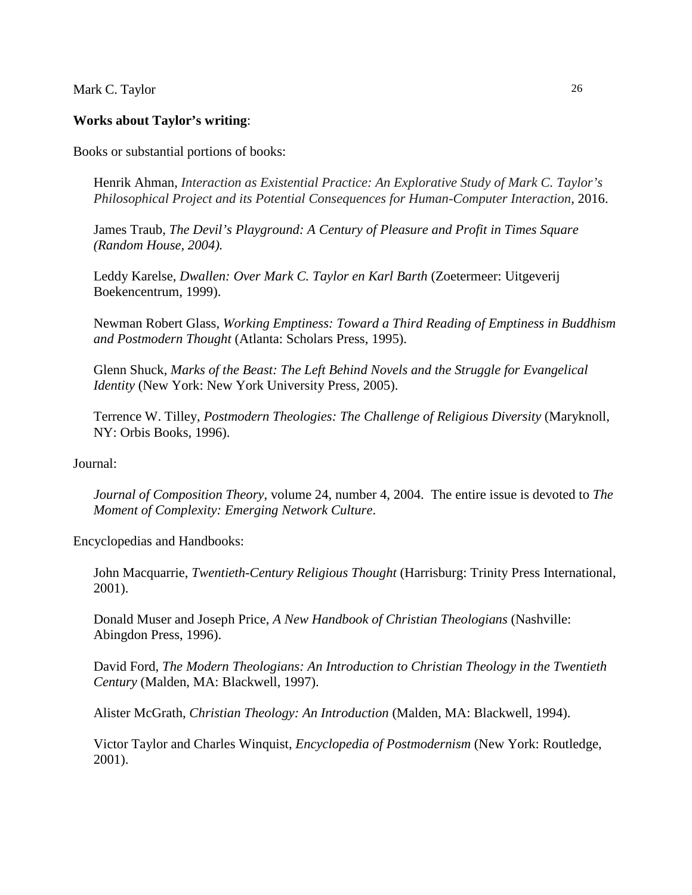#### **Works about Taylor's writing**:

Books or substantial portions of books:

Henrik Ahman, *Interaction as Existential Practice: An Explorative Study of Mark C. Taylor's Philosophical Project and its Potential Consequences for Human-Computer Interaction*, 2016.

James Traub, *The Devil's Playground: A Century of Pleasure and Profit in Times Square (Random House, 2004).*

Leddy Karelse, *Dwallen: Over Mark C. Taylor en Karl Barth* (Zoetermeer: Uitgeverij Boekencentrum, 1999).

Newman Robert Glass, *Working Emptiness: Toward a Third Reading of Emptiness in Buddhism and Postmodern Thought* (Atlanta: Scholars Press, 1995).

Glenn Shuck, *Marks of the Beast: The Left Behind Novels and the Struggle for Evangelical Identity* (New York: New York University Press, 2005).

Terrence W. Tilley, *Postmodern Theologies: The Challenge of Religious Diversity* (Maryknoll, NY: Orbis Books, 1996).

#### Journal:

*Journal of Composition Theory*, volume 24, number 4, 2004. The entire issue is devoted to *The Moment of Complexity: Emerging Network Culture*.

Encyclopedias and Handbooks:

John Macquarrie, *Twentieth-Century Religious Thought* (Harrisburg: Trinity Press International, 2001).

Donald Muser and Joseph Price, *A New Handbook of Christian Theologians* (Nashville: Abingdon Press, 1996).

David Ford, *The Modern Theologians: An Introduction to Christian Theology in the Twentieth Century* (Malden, MA: Blackwell, 1997).

Alister McGrath, *Christian Theology: An Introduction* (Malden, MA: Blackwell, 1994).

Victor Taylor and Charles Winquist, *Encyclopedia of Postmodernism* (New York: Routledge, 2001).